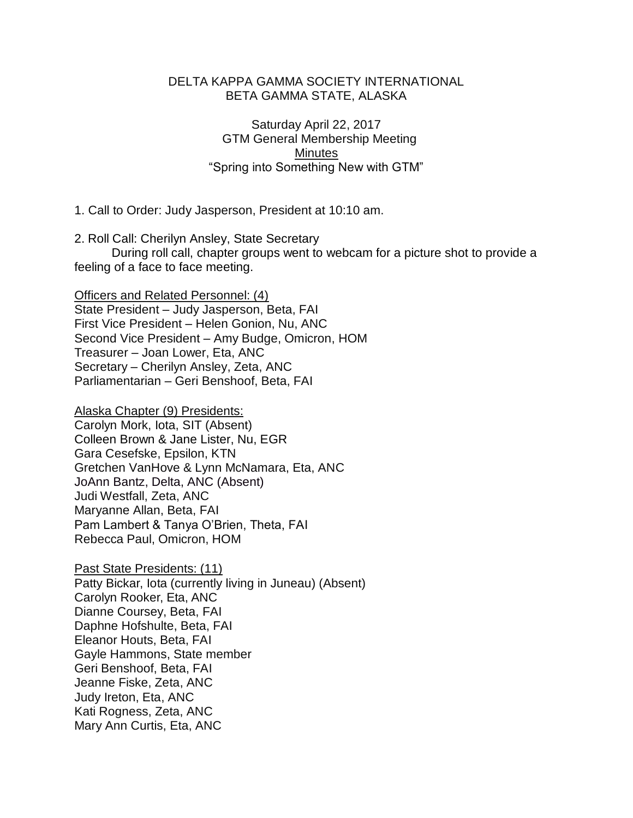## DELTA KAPPA GAMMA SOCIETY INTERNATIONAL BETA GAMMA STATE, ALASKA

Saturday April 22, 2017 GTM General Membership Meeting **Minutes** "Spring into Something New with GTM"

1. Call to Order: Judy Jasperson, President at 10:10 am.

2. Roll Call: Cherilyn Ansley, State Secretary During roll call, chapter groups went to webcam for a picture shot to provide a feeling of a face to face meeting.

Officers and Related Personnel: (4) State President – Judy Jasperson, Beta, FAI First Vice President – Helen Gonion, Nu, ANC Second Vice President – Amy Budge, Omicron, HOM Treasurer – Joan Lower, Eta, ANC Secretary – Cherilyn Ansley, Zeta, ANC Parliamentarian – Geri Benshoof, Beta, FAI

Alaska Chapter (9) Presidents: Carolyn Mork, Iota, SIT (Absent) Colleen Brown & Jane Lister, Nu, EGR Gara Cesefske, Epsilon, KTN Gretchen VanHove & Lynn McNamara, Eta, ANC JoAnn Bantz, Delta, ANC (Absent) Judi Westfall, Zeta, ANC Maryanne Allan, Beta, FAI Pam Lambert & Tanya O'Brien, Theta, FAI Rebecca Paul, Omicron, HOM

Past State Presidents: (11) Patty Bickar, Iota (currently living in Juneau) (Absent) Carolyn Rooker, Eta, ANC Dianne Coursey, Beta, FAI Daphne Hofshulte, Beta, FAI Eleanor Houts, Beta, FAI Gayle Hammons, State member Geri Benshoof, Beta, FAI Jeanne Fiske, Zeta, ANC Judy Ireton, Eta, ANC Kati Rogness, Zeta, ANC Mary Ann Curtis, Eta, ANC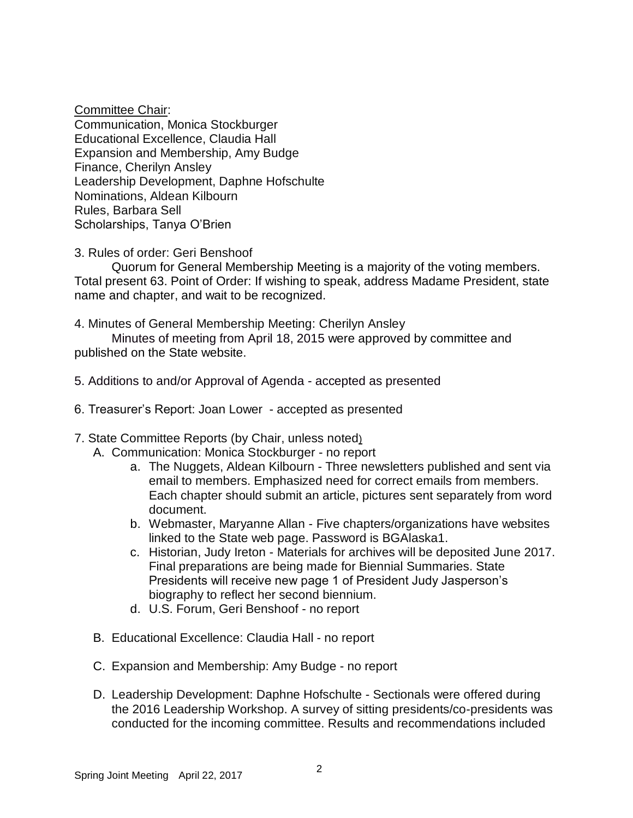Committee Chair:

Communication, Monica Stockburger Educational Excellence, Claudia Hall Expansion and Membership, Amy Budge Finance, Cherilyn Ansley Leadership Development, Daphne Hofschulte Nominations, Aldean Kilbourn Rules, Barbara Sell Scholarships, Tanya O'Brien

3. Rules of order: Geri Benshoof

Quorum for General Membership Meeting is a majority of the voting members. Total present 63. Point of Order: If wishing to speak, address Madame President, state name and chapter, and wait to be recognized.

4. Minutes of General Membership Meeting: Cherilyn Ansley

 Minutes of meeting from April 18, 2015 were approved by committee and published on the State website.

- 5. Additions to and/or Approval of Agenda accepted as presented
- 6. Treasurer's Report: Joan Lower accepted as presented
- 7. State Committee Reports (by Chair, unless noted)
	- A. Communication: Monica Stockburger no report
		- a. The Nuggets, Aldean Kilbourn Three newsletters published and sent via email to members. Emphasized need for correct emails from members. Each chapter should submit an article, pictures sent separately from word document.
		- b. Webmaster, Maryanne Allan Five chapters/organizations have websites linked to the State web page. Password is BGAlaska1.
		- c. Historian, Judy Ireton Materials for archives will be deposited June 2017. Final preparations are being made for Biennial Summaries. State Presidents will receive new page 1 of President Judy Jasperson's biography to reflect her second biennium.
		- d. U.S. Forum, Geri Benshoof no report
	- B. Educational Excellence: Claudia Hall no report
	- C. Expansion and Membership: Amy Budge no report
	- D. Leadership Development: Daphne Hofschulte Sectionals were offered during the 2016 Leadership Workshop. A survey of sitting presidents/co-presidents was conducted for the incoming committee. Results and recommendations included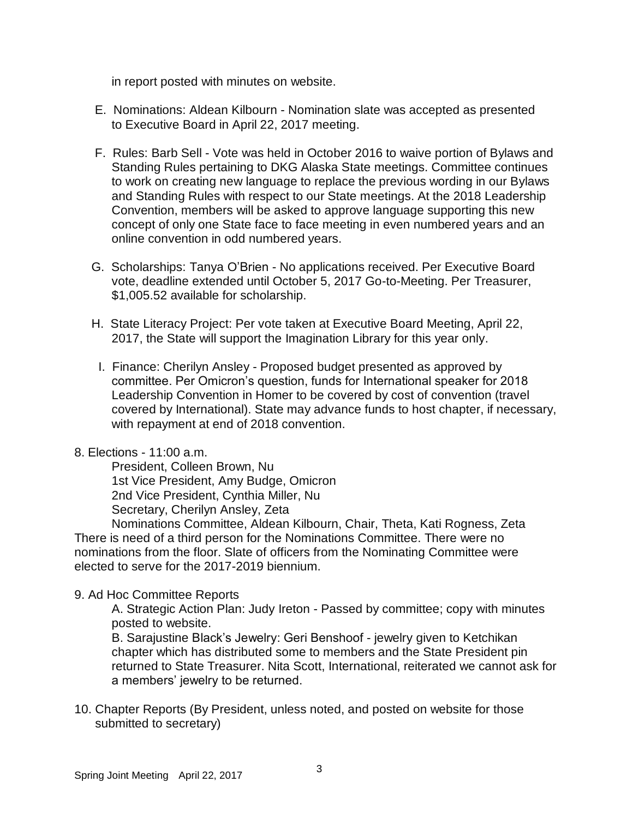in report posted with minutes on website.

- E. Nominations: Aldean Kilbourn Nomination slate was accepted as presented to Executive Board in April 22, 2017 meeting.
- F. Rules: Barb Sell Vote was held in October 2016 to waive portion of Bylaws and Standing Rules pertaining to DKG Alaska State meetings. Committee continues to work on creating new language to replace the previous wording in our Bylaws and Standing Rules with respect to our State meetings. At the 2018 Leadership Convention, members will be asked to approve language supporting this new concept of only one State face to face meeting in even numbered years and an online convention in odd numbered years.
- G. Scholarships: Tanya O'Brien No applications received. Per Executive Board vote, deadline extended until October 5, 2017 Go-to-Meeting. Per Treasurer, \$1,005.52 available for scholarship.
- H. State Literacy Project: Per vote taken at Executive Board Meeting, April 22, 2017, the State will support the Imagination Library for this year only.
- I. Finance: Cherilyn Ansley Proposed budget presented as approved by committee. Per Omicron's question, funds for International speaker for 2018 Leadership Convention in Homer to be covered by cost of convention (travel covered by International). State may advance funds to host chapter, if necessary, with repayment at end of 2018 convention.
- 8. Elections 11:00 a.m.

President, Colleen Brown, Nu 1st Vice President, Amy Budge, Omicron 2nd Vice President, Cynthia Miller, Nu Secretary, Cherilyn Ansley, Zeta

Nominations Committee, Aldean Kilbourn, Chair, Theta, Kati Rogness, Zeta There is need of a third person for the Nominations Committee. There were no nominations from the floor. Slate of officers from the Nominating Committee were elected to serve for the 2017-2019 biennium.

9. Ad Hoc Committee Reports

A. Strategic Action Plan: Judy Ireton - Passed by committee; copy with minutes posted to website.

B. Sarajustine Black's Jewelry: Geri Benshoof - jewelry given to Ketchikan chapter which has distributed some to members and the State President pin returned to State Treasurer. Nita Scott, International, reiterated we cannot ask for a members' jewelry to be returned.

10. Chapter Reports (By President, unless noted, and posted on website for those submitted to secretary)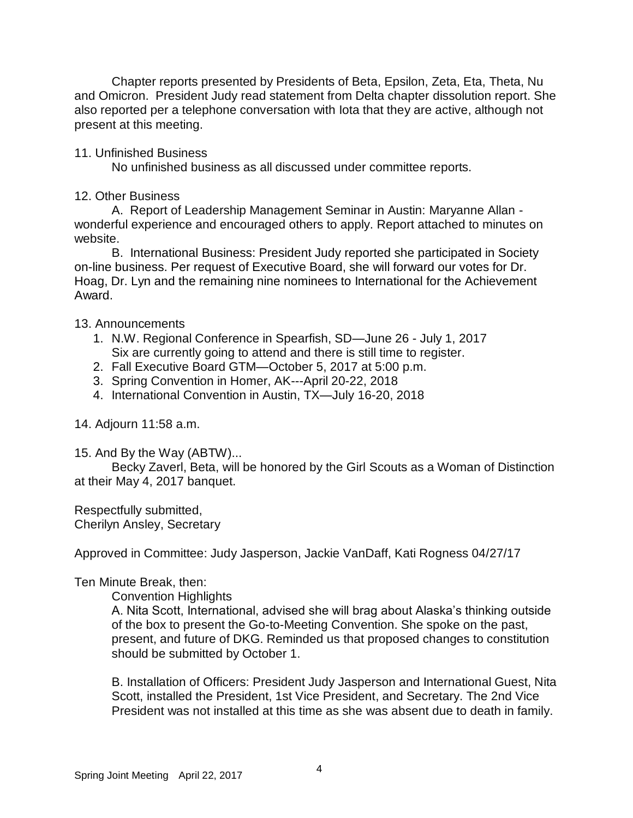Chapter reports presented by Presidents of Beta, Epsilon, Zeta, Eta, Theta, Nu and Omicron. President Judy read statement from Delta chapter dissolution report. She also reported per a telephone conversation with Iota that they are active, although not present at this meeting.

## 11. Unfinished Business

No unfinished business as all discussed under committee reports.

## 12. Other Business

A. Report of Leadership Management Seminar in Austin: Maryanne Allan wonderful experience and encouraged others to apply. Report attached to minutes on website.

B. International Business: President Judy reported she participated in Society on-line business. Per request of Executive Board, she will forward our votes for Dr. Hoag, Dr. Lyn and the remaining nine nominees to International for the Achievement Award.

13. Announcements

- 1. N.W. Regional Conference in Spearfish, SD—June 26 July 1, 2017 Six are currently going to attend and there is still time to register.
- 2. Fall Executive Board GTM—October 5, 2017 at 5:00 p.m.
- 3. Spring Convention in Homer, AK---April 20-22, 2018
- 4. International Convention in Austin, TX—July 16-20, 2018

## 14. Adjourn 11:58 a.m.

15. And By the Way (ABTW)...

Becky Zaverl, Beta, will be honored by the Girl Scouts as a Woman of Distinction at their May 4, 2017 banquet.

Respectfully submitted, Cherilyn Ansley, Secretary

Approved in Committee: Judy Jasperson, Jackie VanDaff, Kati Rogness 04/27/17

Ten Minute Break, then:

Convention Highlights

A. Nita Scott, International, advised she will brag about Alaska's thinking outside of the box to present the Go-to-Meeting Convention. She spoke on the past, present, and future of DKG. Reminded us that proposed changes to constitution should be submitted by October 1.

B. Installation of Officers: President Judy Jasperson and International Guest, Nita Scott, installed the President, 1st Vice President, and Secretary. The 2nd Vice President was not installed at this time as she was absent due to death in family.